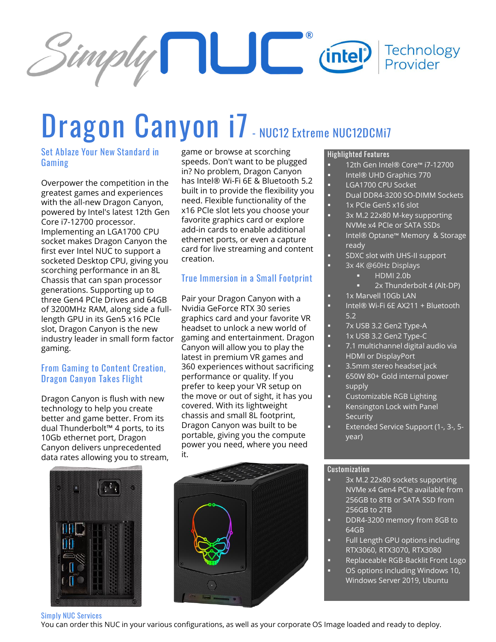

# **Dragon Canyon i7- NUC12 Extreme NUC12DCMi7**

## **Set Ablaze Your New Standard in Gaming**

Overpower the competition in the greatest games and experiences with the all-new Dragon Canyon, powered by Intel's latest 12th Gen Core i7-12700 processor. Implementing an LGA1700 CPU socket makes Dragon Canyon the first ever Intel NUC to support a socketed Desktop CPU, giving you scorching performance in an 8L Chassis that can span processor generations. Supporting up to three Gen4 PCIe Drives and 64GB of 3200MHz RAM, along side a fulllength GPU in its Gen5 x16 PCIe slot, Dragon Canyon is the new industry leader in small form factor gaming.

### **From Gaming to Content Creation, Dragon Canyon Takes Flight**

Dragon Canyon is flush with new technology to help you create better and game better. From its dual Thunderbolt™ 4 ports, to its 10Gb ethernet port, Dragon Canyon delivers unprecedented data rates allowing you to stream, game or browse at scorching speeds. Don't want to be plugged in? No problem, Dragon Canyon has Intel® Wi-Fi 6E & Bluetooth 5.2 built in to provide the flexibility you need. Flexible functionality of the x16 PCIe slot lets you choose your favorite graphics card or explore add-in cards to enable additional ethernet ports, or even a capture card for live streaming and content creation.

## **True Immersion in a Small Footprint**

Pair your Dragon Canyon with a Nvidia GeForce RTX 30 series graphics card and your favorite VR headset to unlock a new world of gaming and entertainment. Dragon Canyon will allow you to play the latest in premium VR games and 360 experiences without sacrificing performance or quality. If you prefer to keep your VR setup on the move or out of sight, it has you covered. With its lightweight chassis and small 8L footprint, Dragon Canyon was built to be portable, giving you the compute power you need, where you need it.



#### **Highlighted Features**

- 12th Gen Intel® Core™ i7-12700
- Intel® UHD Graphics 770
- LGA1700 CPU Socket
- Dual DDR4-3200 SO-DIMM Sockets
- 1x PCIe Gen5 x16 slot
- 3x M.2 22x80 M-key supporting NVMe x4 PCIe or SATA SSDs
- Intel® Optane™ Memory & Storage ready
- SDXC slot with UHS-II support
	- 3x 4K @60Hz Displays
		- **HDMI 2.0b** 2x Thunderbolt 4 (Alt-DP)
	- 1x Marvell 10Gb LAN
	- Intel® Wi-Fi 6E AX211 + Bluetooth
	- 5.2
	- 7x USB 3.2 Gen2 Type-A
	- 1x USB 3.2 Gen2 Type-C
	- 7.1 multichannel digital audio via HDMI or DisplayPort
- 3.5mm stereo headset jack
- 650W 80+ Gold internal power supply
- **Customizable RGB Lighting**
- Kensington Lock with Panel **Security**
- Extended Service Support (1-, 3-, 5 year)

#### **Customization**

- 3x M.2 22x80 sockets supporting NVMe x4 Gen4 PCIe available from 256GB to 8TB or SATA SSD from 256GB to 2TB
- DDR4-3200 memory from 8GB to 64GB
- Full Length GPU options including RTX3060, RTX3070, RTX3080
- Replaceable RGB-Backlit Front Logo
- OS options including Windows 10, Windows Server 2019, Ubuntu

#### **Simply NUC Services**

You can order this NUC in your various configurations, as well as your corporate OS Image loaded and ready to deploy.